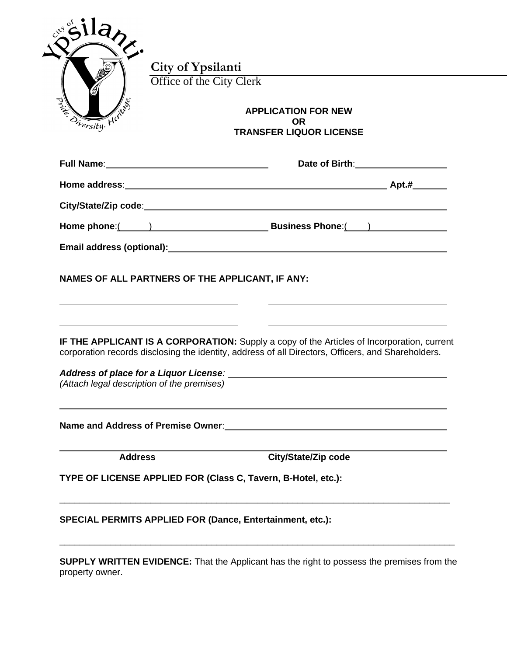| Onersity. Here | Office of the City Clerk<br><b>APPLICATION FOR NEW</b><br><b>OR</b><br><b>TRANSFER LIQUOR LICENSE</b>                                                                                                                                                                                           |
|----------------|-------------------------------------------------------------------------------------------------------------------------------------------------------------------------------------------------------------------------------------------------------------------------------------------------|
|                | Date of Birth: 1990 Mate of Birth:                                                                                                                                                                                                                                                              |
|                |                                                                                                                                                                                                                                                                                                 |
|                |                                                                                                                                                                                                                                                                                                 |
|                | Home phone: (All and South Phone and Susiness Phone: (All and South Phone and Susiness Phone: (All and South P                                                                                                                                                                                  |
|                |                                                                                                                                                                                                                                                                                                 |
|                | NAMES OF ALL PARTNERS OF THE APPLICANT, IF ANY:                                                                                                                                                                                                                                                 |
|                | <b>IF THE APPLICANT IS A CORPORATION:</b> Supply a copy of the Articles of Incorporation, current<br>corporation records disclosing the identity, address of all Directors, Officers, and Shareholders.<br>Address of place for a Liquor License: Manual Address of place for a Liquor License: |
|                | (Attach legal description of the premises)                                                                                                                                                                                                                                                      |
|                | City/State/Zip code<br><b>Address</b>                                                                                                                                                                                                                                                           |
|                | TYPE OF LICENSE APPLIED FOR (Class C, Tavern, B-Hotel, etc.):                                                                                                                                                                                                                                   |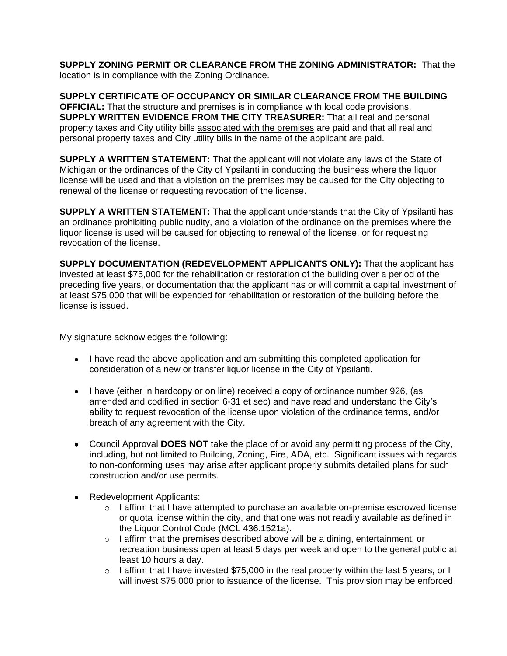**SUPPLY ZONING PERMIT OR CLEARANCE FROM THE ZONING ADMINISTRATOR:** That the location is in compliance with the Zoning Ordinance.

**SUPPLY CERTIFICATE OF OCCUPANCY OR SIMILAR CLEARANCE FROM THE BUILDING OFFICIAL:** That the structure and premises is in compliance with local code provisions. **SUPPLY WRITTEN EVIDENCE FROM THE CITY TREASURER:** That all real and personal property taxes and City utility bills associated with the premises are paid and that all real and personal property taxes and City utility bills in the name of the applicant are paid.

**SUPPLY A WRITTEN STATEMENT:** That the applicant will not violate any laws of the State of Michigan or the ordinances of the City of Ypsilanti in conducting the business where the liquor license will be used and that a violation on the premises may be caused for the City objecting to renewal of the license or requesting revocation of the license.

**SUPPLY A WRITTEN STATEMENT:** That the applicant understands that the City of Ypsilanti has an ordinance prohibiting public nudity, and a violation of the ordinance on the premises where the liquor license is used will be caused for objecting to renewal of the license, or for requesting revocation of the license.

**SUPPLY DOCUMENTATION (REDEVELOPMENT APPLICANTS ONLY):** That the applicant has invested at least \$75,000 for the rehabilitation or restoration of the building over a period of the preceding five years, or documentation that the applicant has or will commit a capital investment of at least \$75,000 that will be expended for rehabilitation or restoration of the building before the license is issued.

My signature acknowledges the following:

- I have read the above application and am submitting this completed application for consideration of a new or transfer liquor license in the City of Ypsilanti.
- I have (either in hardcopy or on line) received a copy of ordinance number 926, (as amended and codified in section 6-31 et sec) and have read and understand the City's ability to request revocation of the license upon violation of the ordinance terms, and/or breach of any agreement with the City.
- Council Approval **DOES NOT** take the place of or avoid any permitting process of the City, including, but not limited to Building, Zoning, Fire, ADA, etc. Significant issues with regards to non-conforming uses may arise after applicant properly submits detailed plans for such construction and/or use permits.
- Redevelopment Applicants:
	- $\circ$  I affirm that I have attempted to purchase an available on-premise escrowed license or quota license within the city, and that one was not readily available as defined in the Liquor Control Code (MCL 436.1521a).
	- $\circ$  I affirm that the premises described above will be a dining, entertainment, or recreation business open at least 5 days per week and open to the general public at least 10 hours a day.
	- $\circ$  I affirm that I have invested \$75,000 in the real property within the last 5 years, or I will invest \$75,000 prior to issuance of the license. This provision may be enforced